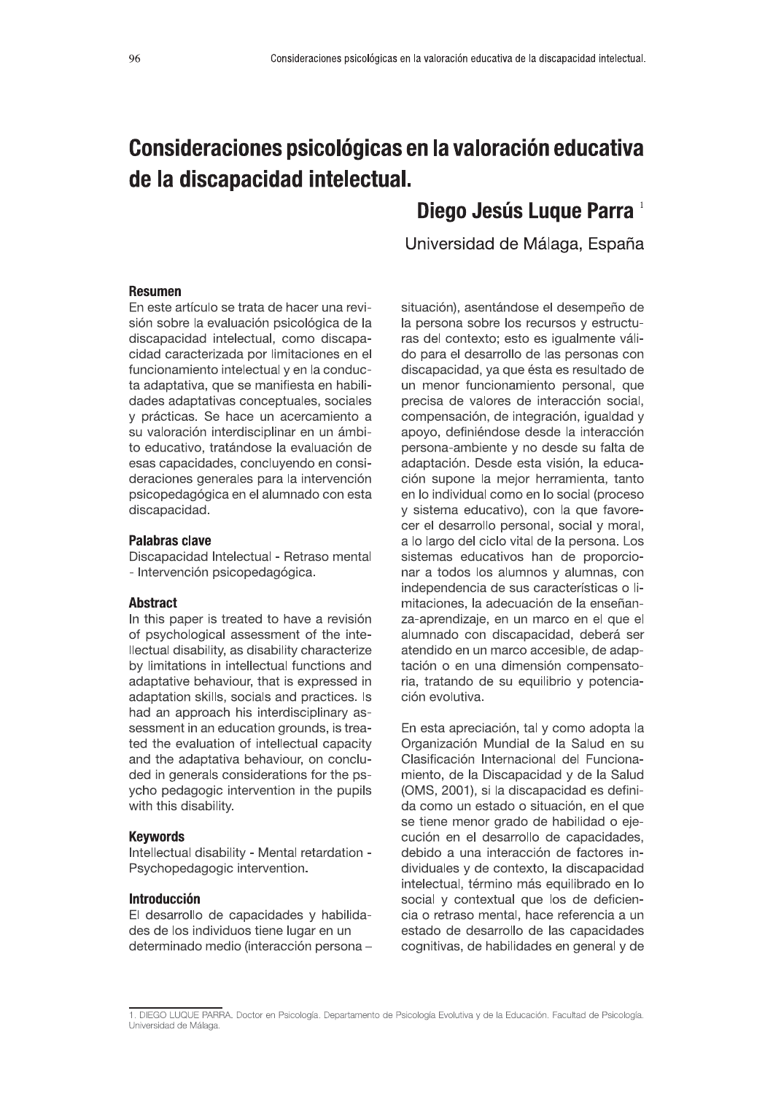# Consideraciones psicológicas en la valoración educativa de la discapacidad intelectual. Consideraciones psicológicas en la valoración educativa de la discapacidad intelectual.<br>
Similar de la Valoración educativa<br> **Consideración de Madina de Madina de Parra**<br>
Universidad de Málaga. España

# SSSSSSSSSSSSSSSSSSSSSSSSSSSSSSSSSSSSSSSSSSSSSSSSSSSSSSS{g)ybS|)\*}\*S~++)SNORROS -

### Resumen

En este artículo se trata de hacer una revisión sobre la evaluación psicológica de la discapacidad intelectual, como discapacidad caracterizada por limitaciones en el funcionamiento intelectual y en la conducta adaptativa, que se manifiesta en habilidades adaptativas conceptuales, sociales y prácticas. Se hace un acercamiento a su valoración interdisciplinar en un ámbito educativo, tratándose la evaluación de esas capacidades, concluyendo en consideraciones generales para la intervención psicopedagógica en el alumnado con esta discapacidad.

# Palabras clave

Discapacidad Intelectual - Retraso mental - Intervención psicopedagógica.

# **Abstract**

In this paper is treated to have a revisión of psychological assessment of the intellectual disability, as disability characterize by limitations in intellectual functions and adaptative behaviour, that is expressed in adaptation skills, socials and practices. Is had an approach his interdisciplinary assessment in an education grounds, is treated the evaluation of intellectual capacity and the adaptativa behaviour, on concluded in generals considerations for the psycho pedagogic intervention in the pupils with this disability.

### **Kevwords**

Intellectual disability - Mental retardation -Psychopedagogic intervention.

### **Introducción**

El desarrollo de capacidades y habilidades de los individuos tiene lugar en un determinado medio (interacción persona - situación), asentándose el desempeño de la persona sobre los recursos y estructuras del contexto; esto es igualmente válido para el desarrollo de las personas con discapacidad, ya que ésta es resultado de un menor funcionamiento personal, que precisa de valores de interacción social, compensación, de integración, igualdad y apoyo, definiéndose desde la interacción persona-ambiente y no desde su falta de adaptación. Desde esta visión, la educación supone la mejor herramienta, tanto en lo individual como en lo social (proceso y sistema educativo), con la que favorecer el desarrollo personal, social y moral, a lo largo del ciclo vital de la persona. Los sistemas educativos han de proporcionar a todos los alumnos y alumnas, con independencia de sus características o limitaciones, la adecuación de la enseñanza-aprendizaje, en un marco en el que el alumnado con discapacidad, deberá ser atendido en un marco accesible, de adaptación o en una dimensión compensatoria, tratando de su equilibrio y potenciación evolutiva.

En esta apreciación, tal y como adopta la Organización Mundial de la Salud en su Clasificación Internacional del Funcionamiento, de la Discapacidad y de la Salud (OMS, 2001), si la discapacidad es definida como un estado o situación, en el que se tiene menor grado de habilidad o ejecución en el desarrollo de capacidades, debido a una interacción de factores individuales y de contexto, la discapacidad intelectual, término más equilibrado en lo social y contextual que los de deficiencia o retraso mental, hace referencia a un estado de desarrollo de las capacidades cognitivas, de habilidades en general y de

des de los individuos tiene lugar en un estado de desarrollo de las capacidades<br>determinado medio (interacción persona — estado de desarrollo de las capacidades<br>1. DIEGO LUQUE PARRA. Doctor en Psicología. Departamento de P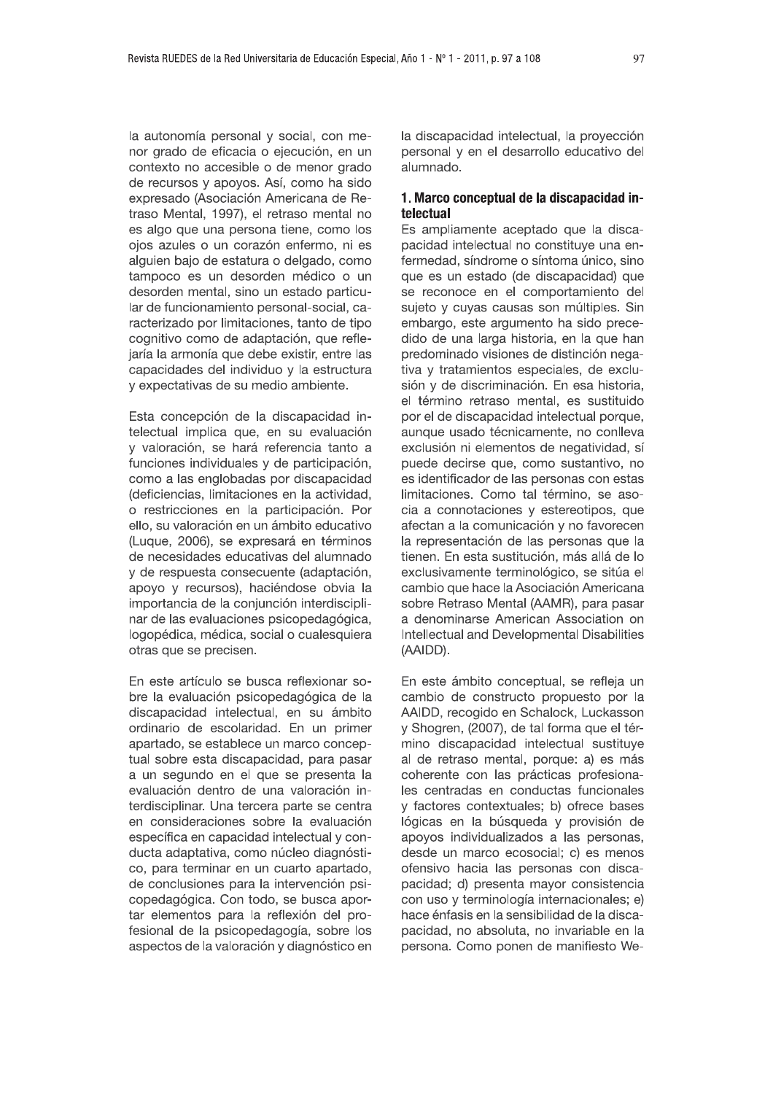la autonomía personal y social, con menor grado de eficacia o ejecución, en un contexto no accesible o de menor grado de recursos y apoyos. Así, como ha sido expresado (Asociación Americana de Retraso Mental, 1997), el retraso mental no es algo que una persona tiene, como los ojos azules o un corazón enfermo, ni es alguien bajo de estatura o delgado, como tampoco es un desorden médico o un desorden mental, sino un estado particular de funcionamiento personal-social, caracterizado por limitaciones, tanto de tipo cognitivo como de adaptación, que reflejaría la armonía que debe existir, entre las capacidades del individuo y la estructura y expectativas de su medio ambiente.

Esta concepción de la discapacidad intelectual implica que, en su evaluación y valoración, se hará referencia tanto a funciones individuales y de participación, como a las englobadas por discapacidad (deficiencias, limitaciones en la actividad, o restricciones en la participación. Por ello, su valoración en un ámbito educativo (Luque, 2006), se expresará en términos de necesidades educativas del alumnado y de respuesta consecuente (adaptación, apoyo y recursos), haciéndose obvia la importancia de la conjunción interdisciplinar de las evaluaciones psicopedagógica, logopédica, médica, social o cualesquiera otras que se precisen.

En este artículo se busca reflexionar sobre la evaluación psicopedagógica de la discapacidad intelectual, en su ámbito ordinario de escolaridad. En un primer apartado, se establece un marco conceptual sobre esta discapacidad, para pasar a un segundo en el que se presenta la evaluación dentro de una valoración interdisciplinar. Una tercera parte se centra en consideraciones sobre la evaluación específica en capacidad intelectual y conducta adaptativa, como núcleo diagnóstico, para terminar en un cuarto apartado, de conclusiones para la intervención psicopedagógica. Con todo, se busca aportar elementos para la reflexión del profesional de la psicopedagogía, sobre los aspectos de la valoración y diagnóstico en la discapacidad intelectual, la proyección personal y en el desarrollo educativo del alumnado.

# 1. Marco conceptual de la discapacidad intelectual

Es ampliamente aceptado que la discapacidad intelectual no constituye una enfermedad, síndrome o síntoma único, sino que es un estado (de discapacidad) que se reconoce en el comportamiento del sujeto y cuyas causas son múltiples. Sin embargo, este argumento ha sido precedido de una larga historia, en la que han predominado visiones de distinción negativa y tratamientos especiales, de exclusión y de discriminación. En esa historia, el término retraso mental, es sustituido por el de discapacidad intelectual porque, aunque usado técnicamente, no conlleva exclusión ni elementos de negatividad, sí puede decirse que, como sustantivo, no es identificador de las personas con estas limitaciones. Como tal término, se asocia a connotaciones y estereotipos, que afectan a la comunicación y no favorecen la representación de las personas que la tienen. En esta sustitución, más allá de lo exclusivamente terminológico, se sitúa el cambio que hace la Asociación Americana sobre Retraso Mental (AAMR), para pasar a denominarse American Association on Intellectual and Developmental Disabilities (AAIDD).

En este ámbito conceptual, se refleja un cambio de constructo propuesto por la AAIDD, recogido en Schalock, Luckasson y Shogren, (2007), de tal forma que el término discapacidad intelectual sustituye al de retraso mental, porque: a) es más coherente con las prácticas profesionales centradas en conductas funcionales v factores contextuales: b) ofrece bases lógicas en la búsqueda y provisión de apoyos individualizados a las personas, desde un marco ecosocial; c) es menos ofensivo hacia las personas con discapacidad; d) presenta mayor consistencia con uso y terminología internacionales; e) hace énfasis en la sensibilidad de la discapacidad, no absoluta, no invariable en la persona. Como ponen de manifiesto We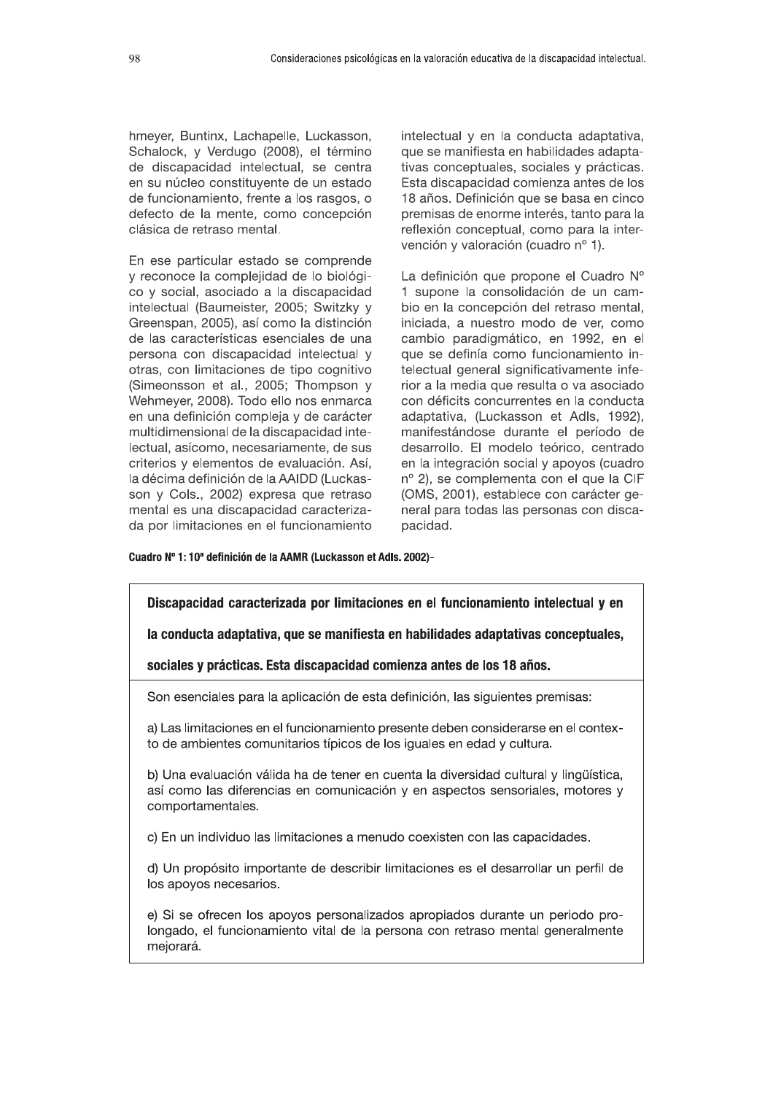hmeyer, Buntinx, Lachapelle, Luckasson, Schalock, y Verdugo (2008), el término de discapacidad intelectual, se centra en su núcleo constituyente de un estado de funcionamiento, frente a los rasgos, o defecto de la mente, como concepción clásica de retraso mental.

En ese particular estado se comprende y reconoce la complejidad de lo biológico y social, asociado a la discapacidad intelectual (Baumeister, 2005; Switzky y Greenspan, 2005), así como la distinción de las características esenciales de una persona con discapacidad intelectual y otras, con limitaciones de tipo cognitivo (Simeonsson et al., 2005; Thompson y Wehmeyer, 2008). Todo ello nos enmarca en una definición compleja y de carácter multidimensional de la discapacidad intelectual, asícomo, necesariamente, de sus criterios y elementos de evaluación. Así, la décima definición de la AAIDD (Luckasson y Cols., 2002) expresa que retraso mental es una discapacidad caracterizada por limitaciones en el funcionamiento intelectual y en la conducta adaptativa, que se manifiesta en habilidades adaptativas conceptuales, sociales y prácticas. Esta discapacidad comienza antes de los 18 años. Definición que se basa en cinco premisas de enorme interés, tanto para la reflexión conceptual, como para la intervención y valoración (cuadro nº 1).

La definición que propone el Cuadro Nº 1 supone la consolidación de un cambio en la concepción del retraso mental, iniciada, a nuestro modo de ver, como cambio paradigmático, en 1992, en el que se definía como funcionamiento intelectual general significativamente inferior a la media que resulta o va asociado con déficits concurrentes en la conducta adaptativa, (Luckasson et Adls, 1992), manifestándose durante el período de desarrollo. El modelo teórico, centrado en la integración social y apoyos (cuadro nº 2), se complementa con el que la CIF (OMS, 2001), establece con carácter general para todas las personas con discapacidad.

### Cuadro Nº 1: 10<sup>ª</sup> definición de la AAMR (Luckasson et Adls. 2002)-

Discapacidad caracterizada por limitaciones en el funcionamiento intelectual y en la conducta adaptativa, que se manifiesta en habilidades adaptativas conceptuales, sociales y prácticas. Esta discapacidad comienza antes de los 18 años. Son esenciales para la aplicación de esta definición, las siguientes premisas: a) Las limitaciones en el funcionamiento presente deben considerarse en el contexto de ambientes comunitarios típicos de los iguales en edad y cultura. b) Una evaluación válida ha de tener en cuenta la diversidad cultural y lingüística, así como las diferencias en comunicación y en aspectos sensoriales, motores y comportamentales. c) En un individuo las limitaciones a menudo coexisten con las capacidades. d) Un propósito importante de describir limitaciones es el desarrollar un perfil de los apoyos necesarios.

e) Si se ofrecen los apoyos personalizados apropiados durante un periodo prolongado, el funcionamiento vital de la persona con retraso mental generalmente mejorará.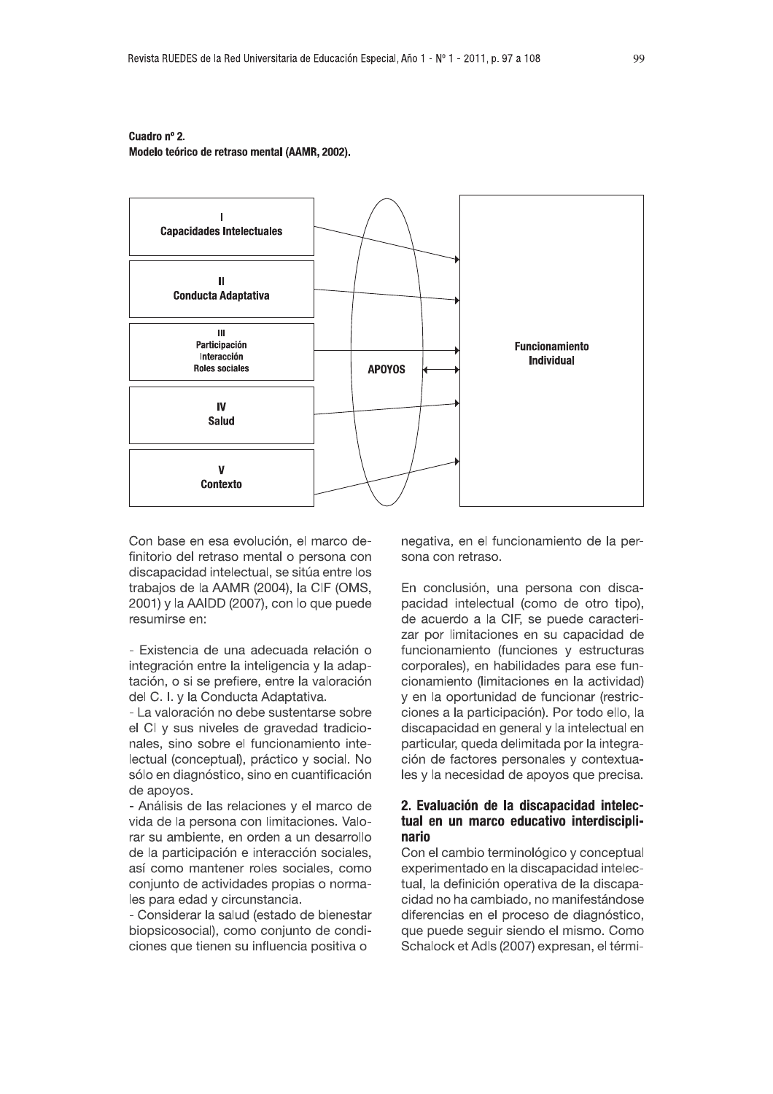# Cuadro nº 2.

Modelo teórico de retraso mental (AAMR, 2002).



Con base en esa evolución, el marco definitorio del retraso mental o persona con discapacidad intelectual, se sitúa entre los trabajos de la AAMR (2004), la CIF (OMS, 2001) y la AAIDD (2007), con lo que puede resumirse en:

- Existencia de una adecuada relación o integración entre la inteligencia y la adaptación, o si se prefiere, entre la valoración del C. I. y la Conducta Adaptativa.

- La valoración no debe sustentarse sobre el CI y sus niveles de gravedad tradicionales, sino sobre el funcionamiento intelectual (conceptual), práctico y social. No sólo en diagnóstico, sino en cuantificación de apovos.

- Análisis de las relaciones y el marco de vida de la persona con limitaciones. Valorar su ambiente, en orden a un desarrollo de la participación e interacción sociales, así como mantener roles sociales, como conjunto de actividades propias o normales para edad y circunstancia.

- Considerar la salud (estado de bienestar biopsicosocial), como conjunto de condiciones que tienen su influencia positiva o

negativa, en el funcionamiento de la persona con retraso.

En conclusión, una persona con discapacidad intelectual (como de otro tipo), de acuerdo a la CIF, se puede caracterizar por limitaciones en su capacidad de funcionamiento (funciones y estructuras corporales), en habilidades para ese funcionamiento (limitaciones en la actividad) y en la oportunidad de funcionar (restricciones a la participación). Por todo ello, la discapacidad en general y la intelectual en particular, queda delimitada por la integración de factores personales y contextuales y la necesidad de apoyos que precisa.

# 2. Evaluación de la discapacidad intelectual en un marco educativo interdisciplinario

Con el cambio terminológico y conceptual experimentado en la discapacidad intelectual, la definición operativa de la discapacidad no ha cambiado, no manifestándose diferencias en el proceso de diagnóstico, que puede seguir siendo el mismo. Como Schalock et Adls (2007) expresan, el térmi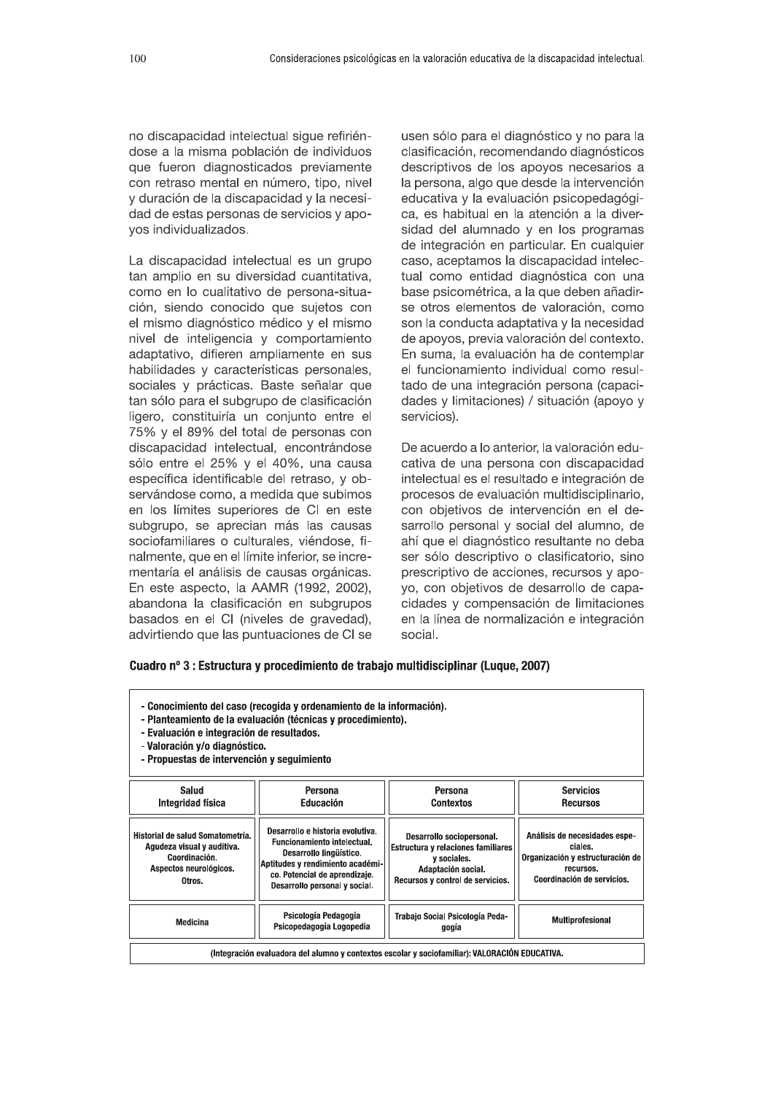no discapacidad intelectual sique refiriéndose a la misma población de individuos que fueron diagnosticados previamente con retraso mental en número, tipo, nivel v duración de la discapacidad y la necesidad de estas personas de servicios y apovos individualizados.

La discapacidad intelectual es un grupo tan amplio en su diversidad cuantitativa. como en lo cualitativo de persona-situación, siendo conocido que suietos con el mismo diagnóstico médico y el mismo nivel de inteligencia y comportamiento adaptativo, difieren ampliamente en sus habilidades y características personales. sociales y prácticas. Baste señalar que tan sólo para el subgrupo de clasificación ligero, constituiría un coniunto en como en lo cualitativo de persona-situa-<br>ción, siendo conocido que sujetos con<br>el mismo diagnóstico médico y el mismo<br>nivel de inteligencia y comportamiento<br>adaptativo, difieren ampliamente en sus<br>habilidades y característ ersonas con discapacidad intelectual, encontrándose sólo entre el 25% y el 40%, una causa específica identificable del retraso. v observándose como. a medida que subimos en los límites superiores de CI en este subgrupo, se aprecian más las causas sociofamiliares o culturales, viéndose, finalmente, que en el límite inferior, se incrementaría el análisis de causas orgánicas. En este aspecto. la AAMR (1992, 2002). abandona la clasificación en subgrupos basados en el CI (niveles de gravedad). advirtiendo que las puntuaciones de CI se

usen sólo para el diagnóstico y no para la clasificación, recomendando diagnósticos descriptivos de los apovos necesarios a la persona, algo que desde la intervención educativa y la evaluación psicopedagógica, es habitual en la atención a la diversidad del alumnado y en los programas de integración en particular. En cualquier caso, aceptamos la discapacidad intelectual como entidad diagnóstica con una base psicométrica, a la que deben añadirse otros elementos de valoración, como son la conducta adaptativa y la necesidad de apovos, previa valoración del contexto. En suma. la evaluación ha de contemplar el funcionamiento individual como resultado de una integración persona (capacidades y limitaciones) / situación (apovo y servicios).

De acuerdo a lo anterior, la valoración educativa de una persona con discapacidad intelectual es el resultado e integración de procesos de evaluación multidisciplinario. .<br>con obietivos de intervención en el desarrollo personal v social del alumno. de ahí que el diagnóstico resultante no deba ser sólo descriptivo o clasificatorio, sino prescriptivo de acciones, recursos y apovo. con obietivos de desarrollo de capacidades y compensación de limitaciones en la línea de normalización e integración social.

# Cuadro nº 3 : Estructura y procedimiento de trabajo multidisciplinar (Luque, 2007)

| - Conocimiento del caso (recogida y ordenamiento de la información).<br>- Planteamiento de la evaluación (técnicas y procedimiento).<br>- Evaluación e integración de resultados.<br>- Valoración y/o diagnóstico.<br>- Propuestas de intervención y sequimiento |                                                                                                                                                                                                         |                                                                                                                                          |                                                                                                                         |
|------------------------------------------------------------------------------------------------------------------------------------------------------------------------------------------------------------------------------------------------------------------|---------------------------------------------------------------------------------------------------------------------------------------------------------------------------------------------------------|------------------------------------------------------------------------------------------------------------------------------------------|-------------------------------------------------------------------------------------------------------------------------|
| Salud                                                                                                                                                                                                                                                            | Persona                                                                                                                                                                                                 | Persona                                                                                                                                  | <b>Servicios</b>                                                                                                        |
| Integridad física                                                                                                                                                                                                                                                | Educación                                                                                                                                                                                               | <b>Contextos</b>                                                                                                                         | <b>Recursos</b>                                                                                                         |
| Historial de salud Somatometría.<br>Agudeza visual y auditiva.<br>Coordinación.<br>Aspectos neurológicos.<br>Otros.                                                                                                                                              | Desarrollo e historia evolutiva.<br><b>Funcionamiento intelectual.</b><br>Desarrollo lingüístico.<br>Aptitudes y rendimiento académi-<br>co. Potencial de aprendizaje.<br>Desarrollo personal y social. | Desarrollo sociopersonal.<br>Estructura y relaciones familiares<br>y sociales.<br>Adaptación social.<br>Recursos y control de servicios. | Análisis de necesidades espe-<br>ciales.<br>Organización y estructuración de<br>recursos.<br>Coordinación de servicios. |
| Medicina                                                                                                                                                                                                                                                         | Psicología Pedagogía<br>Psicopedagogía Logopedia                                                                                                                                                        | Trabaio Social Psicología Peda-<br>gogia                                                                                                 | Multiprofesional                                                                                                        |
| (Integración evaluadora del alumno y contextos escolar y sociofamiliar): VALORACIÓN EDUCATIVA.                                                                                                                                                                   |                                                                                                                                                                                                         |                                                                                                                                          |                                                                                                                         |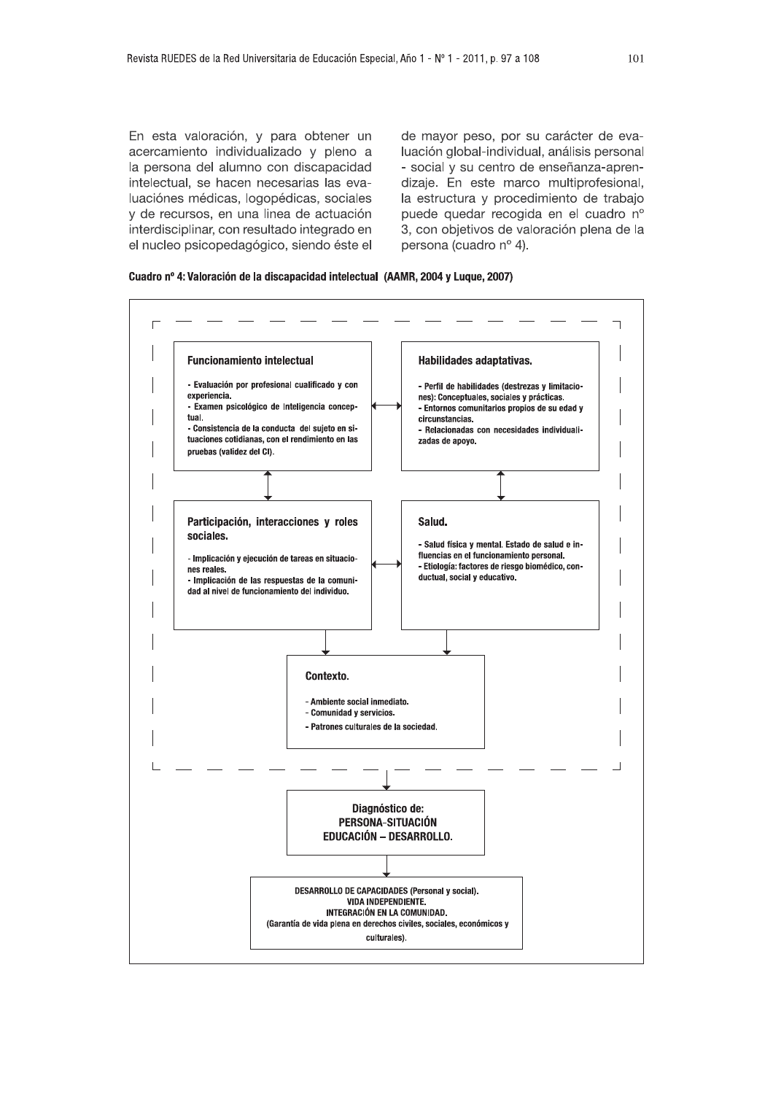En esta valoración, y para obtener un acercamiento individualizado y pleno a la persona del alumno con discapacidad intelectual, se hacen necesarias las evaluaciónes médicas, logopédicas, sociales y de recursos, en una linea de actuación interdisciplinar, con resultado integrado en el nucleo psicopedagógico, siendo éste el de mayor peso, por su carácter de evaluación global-individual, análisis personal - social y su centro de enseñanza-aprendizaje. En este marco multiprofesional, la estructura y procedimiento de trabajo puede quedar recogida en el cuadro nº 3, con objetivos de valoración plena de la persona (cuadro nº 4).

Cuadro nº 4: Valoración de la discapacidad intelectual (AAMR, 2004 y Luque, 2007)

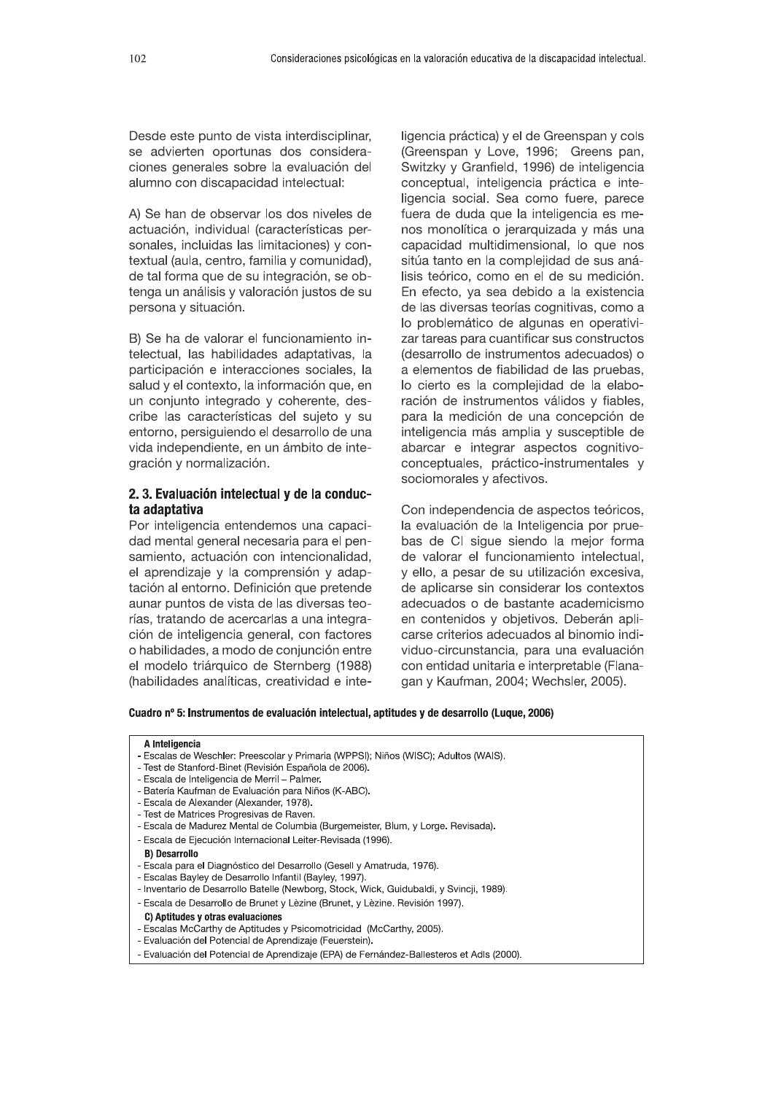Desde este punto de vista interdisciplinar, se advierten oportunas dos consideraciones generales sobre la evaluación del alumno con discapacidad intelectual:

A) Se han de observar los dos niveles de actuación, individual (características personales, incluidas las limitaciones) y contextual (aula, centro, familia y comunidad), de tal forma que de su integración, se obtenga un análisis y valoración justos de su persona y situación.

B) Se ha de valorar el funcionamiento intelectual. las habilidades adaptativas. la participación e interacciones sociales, la salud y el contexto, la información que, en un conjunto integrado y coherente, describe las características del sujeto y su entorno, persiguiendo el desarrollo de una vida independiente, en un ámbito de integración y normalización.

# 2.3. Evaluación intelectual y de la conducta adaptativa

Por inteligencia entendemos una capacidad mental general necesaria para el pensamiento, actuación con intencionalidad, el aprendizaje y la comprensión y adaptación al entorno. Definición que pretende aunar puntos de vista de las diversas teorías, tratando de acercarlas a una integración de inteligencia general, con factores o habilidades, a modo de conjunción entre el modelo triárquico de Sternberg (1988) (habilidades analíticas, creatividad e inteligencia práctica) y el de Greenspan y cols (Greenspan y Love, 1996; Greens pan, Switzky y Granfield, 1996) de inteligencia conceptual, inteligencia práctica e inteligencia social. Sea como fuere, parece fuera de duda que la inteligencia es menos monolítica o jerarquizada y más una capacidad multidimensional, lo que nos sitúa tanto en la complejidad de sus análisis teórico, como en el de su medición. En efecto, ya sea debido a la existencia de las diversas teorías cognitivas, como a lo problemático de algunas en operativizar tareas para cuantificar sus constructos (desarrollo de instrumentos adecuados) o a elementos de fiabilidad de las pruebas, lo cierto es la complejidad de la elaboración de instrumentos válidos y fiables, para la medición de una concepción de inteligencia más amplia y susceptible de abarcar e integrar aspectos cognitivoconceptuales, práctico-instrumentales y sociomorales y afectivos.

Con independencia de aspectos teóricos, la evaluación de la Inteligencia por pruebas de CI sigue siendo la mejor forma de valorar el funcionamiento intelectual, y ello, a pesar de su utilización excesiva, de aplicarse sin considerar los contextos adecuados o de bastante academicismo en contenidos y objetivos. Deberán aplicarse criterios adecuados al binomio individuo-circunstancia, para una evaluación con entidad unitaria e interpretable (Flanagan y Kaufman, 2004; Wechsler, 2005).

Cuadro nº 5: Instrumentos de evaluación intelectual, aptitudes y de desarrollo (Luque, 2006)

### A Inteligencia

- Escalas de Weschler: Preescolar y Primaria (WPPSI); Niños (WISC); Adultos (WAIS).
- Test de Stanford-Binet (Revisión Española de 2006).
- Escala de Inteligencia de Merril Palmer.
- Batería Kaufman de Evaluación para Niños (K-ABC).
- Escala de Alexander (Alexander, 1978).
- Test de Matrices Progresivas de Raven.
- Escala de Madurez Mental de Columbia (Burgemeister, Blum, y Lorge. Revisada).
- Escala de Ejecución Internacional Leiter-Revisada (1996).

### **B) Desarrollo**

- Escala para el Diagnóstico del Desarrollo (Gesell y Amatruda, 1976).
- Escalas Bayley de Desarrollo Infantil (Bayley, 1997).
- Inventario de Desarrollo Batelle (Newborg, Stock, Wick, Guidubaldi, y Svincji, 1989).
- Escala de Desarrollo de Brunet y Lèzine (Brunet, y Lèzine. Revisión 1997).

# C) Antitudes y otras evaluaciones

- Escalas McCarthy de Aptitudes y Psicomotricidad (McCarthy, 2005).
- Evaluación del Potencial de Aprendizaje (Feuerstein).
- Evaluación del Potencial de Aprendizaje (EPA) de Fernández-Ballesteros et Adls (2000).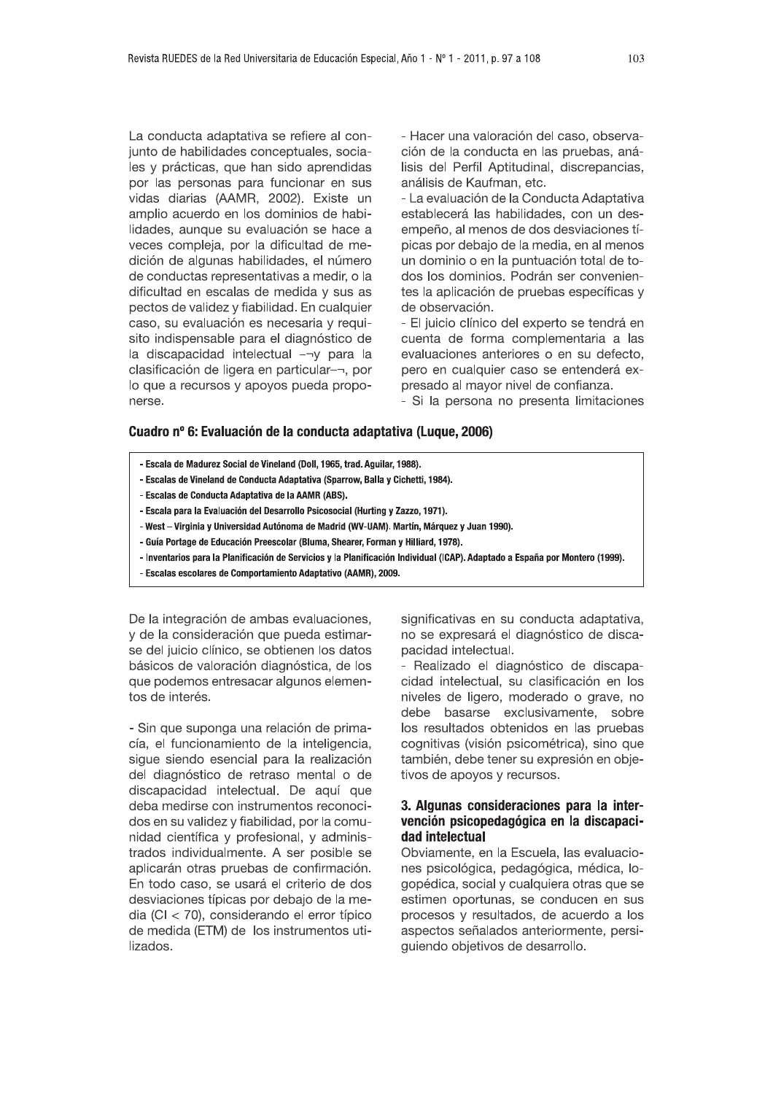La conducta adaptativa se refiere al conjunto de habilidades conceptuales, sociales y prácticas, que han sido aprendidas por las personas para funcionar en sus vidas diarias (AAMR, 2002). Existe un amplio acuerdo en los dominios de habilidades, aunque su evaluación se hace a veces compleja, por la dificultad de medición de algunas habilidades, el número de conductas representativas a medir, o la dificultad en escalas de medida y sus as pectos de validez y fiabilidad. En cualquier caso, su evaluación es necesaria y requisito indispensable para el diagnóstico de la discapacidad intelectual -¬y para la clasificación de ligera en particular-¬, por lo que a recursos y apoyos pueda proponerse.

- Hacer una valoración del caso, observación de la conducta en las pruebas, análisis del Perfil Aptitudinal, discrepancias, análisis de Kaufman, etc.

- La evaluación de la Conducta Adaptativa establecerá las habilidades, con un desempeño, al menos de dos desviaciones típicas por debajo de la media, en al menos un dominio o en la puntuación total de todos los dominios. Podrán ser convenientes la aplicación de pruebas específicas y de observación.

- El juicio clínico del experto se tendrá en cuenta de forma complementaria a las evaluaciones anteriores o en su defecto. pero en cualquier caso se entenderá expresado al mayor nivel de confianza.

- Si la persona no presenta limitaciones

# Cuadro nº 6: Evaluación de la conducta adaptativa (Luque, 2006)

- Escala de Madurez Social de Vineland (Doll, 1965, trad. Aguilar, 1988).
- Escalas de Vineland de Conducta Adaptativa (Sparrow, Balla y Cichetti, 1984).
- Escalas de Conducta Adaptativa de la AAMR (ABS).
- Escala para la Evaluación del Desarrollo Psicosocial (Hurting y Zazzo, 1971).
- West Virginia y Universidad Autónoma de Madrid (WV-UAM). Martín, Márquez y Juan 1990).
- Guía Portage de Educación Preescolar (Bluma, Shearer, Forman y Hilliard, 1978).
- Inventarios para la Planificación de Servicios y la Planificación Individual (ICAP). Adaptado a España por Montero (1999).
- Escalas escolares de Comportamiento Adaptativo (AAMR), 2009.

De la integración de ambas evaluaciones, v de la consideración que pueda estimarse del juicio clínico, se obtienen los datos básicos de valoración diagnóstica, de los que podemos entresacar algunos elementos de interés.

- Sin que suponga una relación de primacía, el funcionamiento de la inteligencia, sigue siendo esencial para la realización del diagnóstico de retraso mental o de discapacidad intelectual. De aquí que deba medirse con instrumentos reconocidos en su validez y fiabilidad, por la comunidad científica y profesional, y administrados individualmente. A ser posible se aplicarán otras pruebas de confirmación. En todo caso, se usará el criterio de dos desviaciones típicas por debajo de la media (CI <  $70$ ), considerando el error típico de medida (ETM) de los instrumentos utilizados.

significativas en su conducta adaptativa, no se expresará el diagnóstico de discapacidad intelectual.

- Realizado el diagnóstico de discapacidad intelectual, su clasificación en los niveles de ligero, moderado o grave, no debe basarse exclusivamente, sobre los resultados obtenidos en las pruebas cognitivas (visión psicométrica), sino que también, debe tener su expresión en objetivos de apoyos y recursos.

# 3. Algunas consideraciones para la intervención psicopedagógica en la discapacidad intelectual

Obviamente, en la Escuela, las evaluaciones psicológica, pedagógica, médica, logopédica, social y cualquiera otras que se estimen oportunas, se conducen en sus procesos y resultados, de acuerdo a los aspectos señalados anteriormente, persiguiendo objetivos de desarrollo.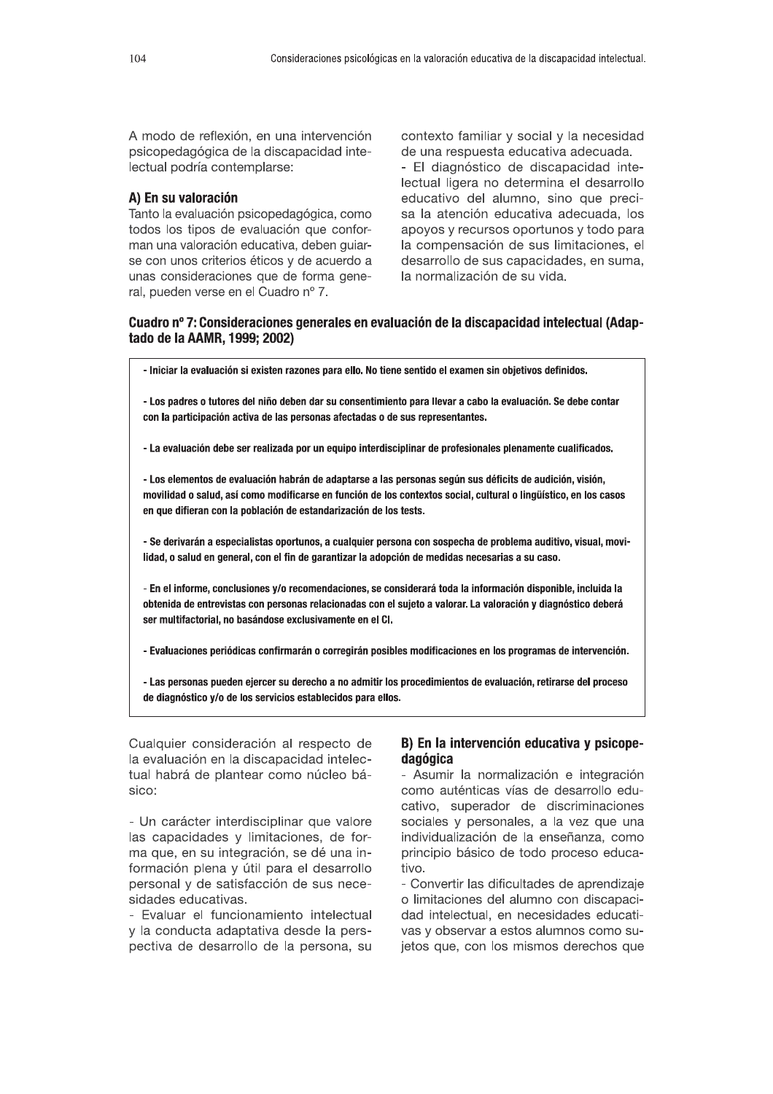A modo de reflexión, en una intervención psicopedagógica de la discapacidad intelectual podría contemplarse:

# A) En su valoración

Tanto la evaluación psicopedagógica, como todos los tipos de evaluación que conforman una valoración educativa, deben guiarse con unos criterios éticos y de acuerdo a unas consideraciones que de forma general, pueden verse en el Cuadro nº 7.

contexto familiar y social y la necesidad de una respuesta educativa adecuada. - El diagnóstico de discapacidad intelectual ligera no determina el desarrollo educativo del alumno, sino que precisa la atención educativa adecuada, los apoyos y recursos oportunos y todo para la compensación de sus limitaciones, el desarrollo de sus capacidades, en suma, la normalización de su vida.

# Cuadro nº 7: Consideraciones generales en evaluación de la discapacidad intelectual (Adaptado de la AAMR, 1999; 2002)

- Iniciar la evaluación si existen razones para ello. No tiene sentido el examen sin objetivos definidos.

- Los padres o tutores del niño deben dar su consentimiento para llevar a cabo la evaluación. Se debe contar con la participación activa de las personas afectadas o de sus representantes.

- La evaluación debe ser realizada por un equipo interdisciplinar de profesionales plenamente cualificados.

- Los elementos de evaluación habrán de adaptarse a las personas según sus déficits de audición, visión, movilidad o salud, así como modificarse en función de los contextos social, cultural o lingüístico, en los casos en que difieran con la población de estandarización de los tests.

- Se derivarán a especialistas oportunos, a cualquier persona con sospecha de problema auditivo, visual, movilidad, o salud en general, con el fin de garantizar la adopción de medidas necesarias a su caso.

- En el informe, conclusiones y/o recomendaciones, se considerará toda la información disponible, incluida la obtenida de entrevistas con personas relacionadas con el sujeto a valorar. La valoración y diagnóstico deberá ser multifactorial, no basándose exclusivamente en el Cl.

- Evaluaciones periódicas confirmarán o corregirán posibles modificaciones en los programas de intervención.

- Las personas pueden ejercer su derecho a no admitir los procedimientos de evaluación, retirarse del proceso de diagnóstico y/o de los servicios establecidos para ellos.

Cualquier consideración al respecto de la evaluación en la discapacidad intelectual habrá de plantear como núcleo básico:

- Un carácter interdisciplinar que valore las capacidades y limitaciones, de forma que, en su integración, se dé una información plena y útil para el desarrollo personal y de satisfacción de sus necesidades educativas.

- Evaluar el funcionamiento intelectual y la conducta adaptativa desde la perspectiva de desarrollo de la persona, su

# B) En la intervención educativa y psicopedagógica

- Asumir la normalización e integración como auténticas vías de desarrollo educativo, superador de discriminaciones sociales y personales, a la vez que una individualización de la enseñanza, como principio básico de todo proceso educativo.

- Convertir las dificultades de aprendizaje o limitaciones del alumno con discapacidad intelectual, en necesidades educativas y observar a estos alumnos como sujetos que, con los mismos derechos que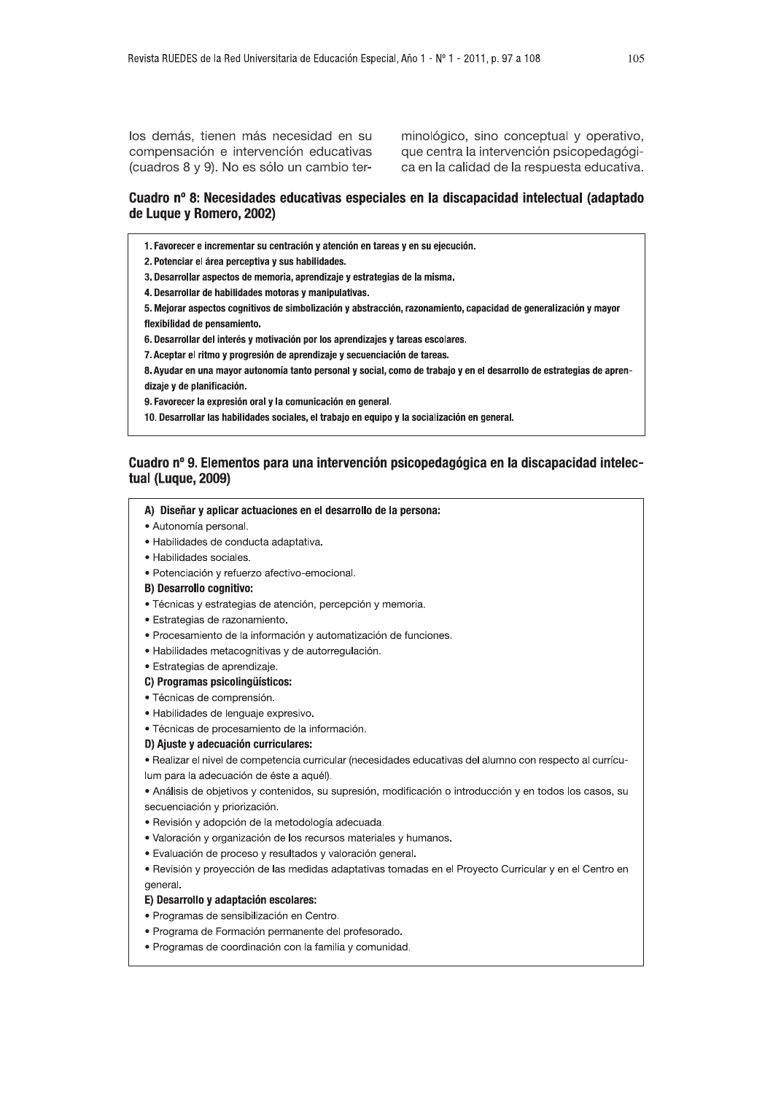los demás, tienen más necesidad en su compensación e intervención educativas (cuadros 8 y 9). No es sólo un cambio terminológico, sino conceptual y operativo, que centra la intervención psicopedagógica en la calidad de la respuesta educativa.

# Cuadro nº 8: Necesidades educativas especiales en la discapacidad intelectual (adaptado de Luque y Romero, 2002)

1. Favorecer e incrementar su centración y atención en tareas y en su ejecución.

2. Potenciar el área perceptiva y sus habilidades.

3. Desarrollar aspectos de memoria, aprendizaje y estrategias de la misma.

4. Desarrollar de habilidades motoras y manipulativas.

5. Mejorar aspectos cognitivos de simbolización y abstracción, razonamiento, capacidad de generalización y mayor flexibilidad de pensamiento.

6. Desarrollar del interés y motivación por los aprendizajes y tareas escolares.

7. Aceptar el ritmo y progresión de aprendizaje y secuenciación de tareas.

8. Ayudar en una mayor autonomía tanto personal y social, como de trabajo y en el desarrollo de estrategias de aprendizaje y de planificación.

9. Favorecer la expresión oral y la comunicación en general.

10. Desarrollar las habilidades sociales, el trabajo en equipo y la socialización en general.

# Cuadro nº 9. Elementos para una intervención psicopedagógica en la discapacidad intelectual (Luque, 2009)

### A) Diseñar y aplicar actuaciones en el desarrollo de la persona:

- · Autonomía personal.
- · Habilidades de conducta adaptativa.
- · Habilidades sociales.
- · Potenciación y refuerzo afectivo-emocional.
- **B) Desarrollo cognitivo:**
- · Técnicas y estrategias de atención, percepción y memoria.
- · Estrategias de razonamiento.
- · Procesamiento de la información y automatización de funciones.
- · Habilidades metacognitivas y de autorregulación.
- · Estrategias de aprendizaje.
- C) Programas psicolingüísticos:
- · Técnicas de comprensión.
- · Habilidades de lenguaje expresivo.
- · Técnicas de procesamiento de la información.

### D) Ajuste y adecuación curriculares:

· Realizar el nivel de competencia curricular (necesidades educativas del alumno con respecto al currículum para la adecuación de éste a aquél).

• Análisis de objetivos y contenidos, su supresión, modificación o introducción y en todos los casos, su secuenciación y priorización.

- · Revisión y adopción de la metodología adecuada.
- · Valoración y organización de los recursos materiales y humanos.
- · Evaluación de proceso y resultados y valoración general.
- · Revisión y proyección de las medidas adaptativas tomadas en el Proyecto Curricular y en el Centro en general.

### E) Desarrollo y adaptación escolares:

- · Programas de sensibilización en Centro.
- · Programa de Formación permanente del profesorado.
- · Programas de coordinación con la familia y comunidad.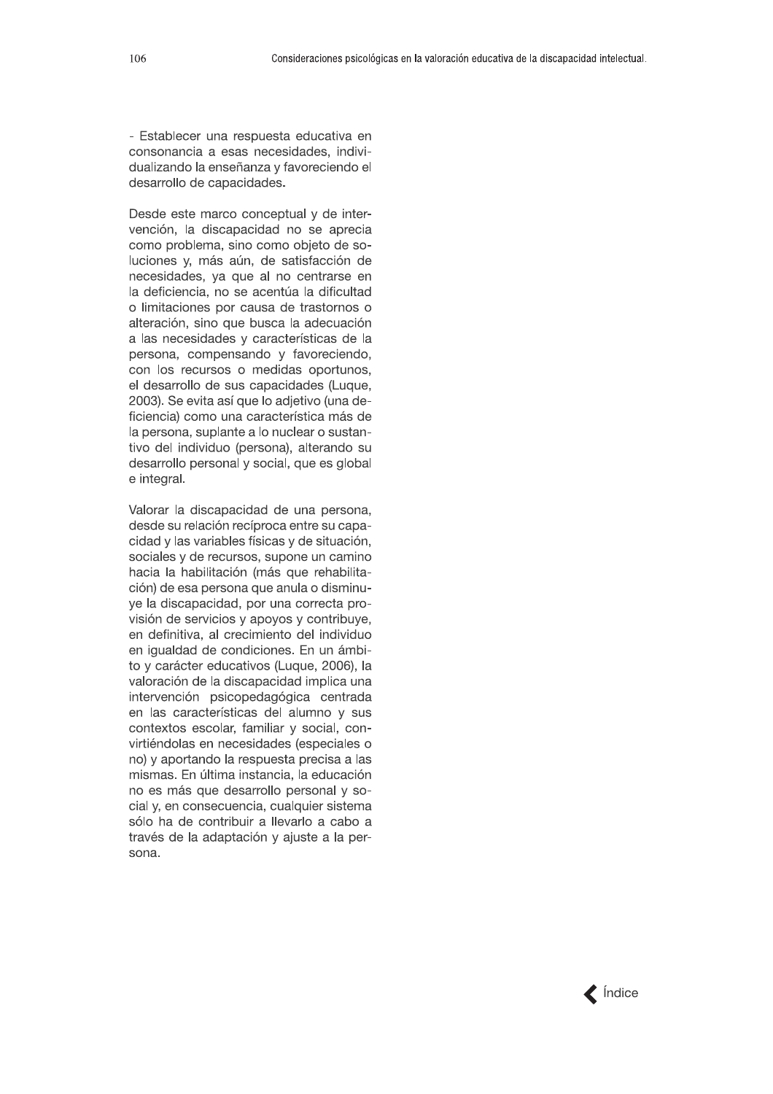- Establecer una respuesta educativa en consonancia a esas necesidades, individualizando la enseñanza y favoreciendo el desarrollo de capacidades.

Desde este marco conceptual y de intervención, la discapacidad no se aprecia como problema, sino como objeto de soluciones y, más aún, de satisfacción de necesidades, ya que al no centrarse en la deficiencia, no se acentúa la dificultad o limitaciones por causa de trastornos o alteración, sino que busca la adecuación a las necesidades y características de la persona, compensando y favoreciendo, con los recursos o medidas oportunos, el desarrollo de sus capacidades (Luque, 2003). Se evita así que lo adjetivo (una deficiencia) como una característica más de la persona, suplante a lo nuclear o sustantivo del individuo (persona), alterando su desarrollo personal y social, que es global e integral.

Valorar la discapacidad de una persona, desde su relación recíproca entre su capacidad y las variables físicas y de situación, sociales y de recursos, supone un camino hacia la habilitación (más que rehabilitación) de esa persona que anula o disminuye la discapacidad, por una correcta provisión de servicios y apoyos y contribuye, en definitiva, al crecimiento del individuo en iqualdad de condiciones. En un ámbito y carácter educativos (Luque, 2006), la valoración de la discapacidad implica una intervención psicopedagógica centrada en las características del alumno y sus contextos escolar, familiar y social, convirtiéndolas en necesidades (especiales o no) y aportando la respuesta precisa a las mismas. En última instancia, la educación no es más que desarrollo personal y social y, en consecuencia, cualquier sistema sólo ha de contribuir a llevarlo a cabo a través de la adaptación y ajuste a la persona.

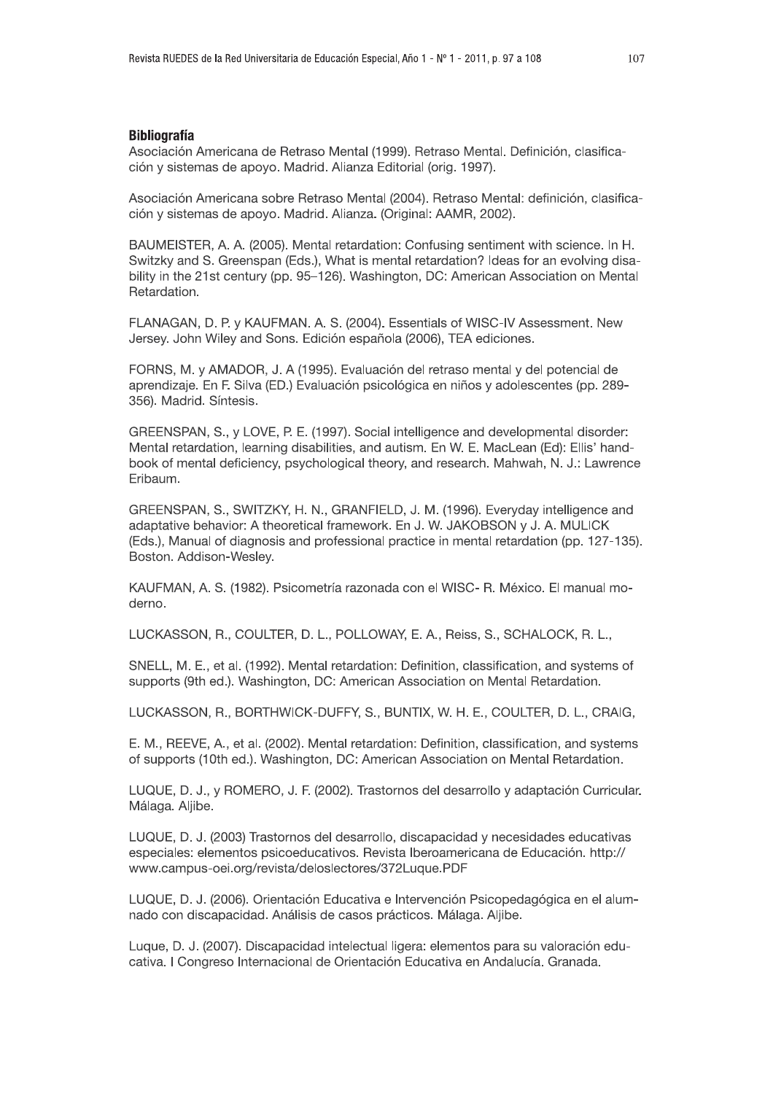# **Bibliografía**

Asociación Americana de Retraso Mental (1999). Retraso Mental. Definición, clasificación y sistemas de apoyo. Madrid. Alianza Editorial (orig. 1997).

Asociación Americana sobre Retraso Mental (2004). Retraso Mental: definición, clasificación y sistemas de apoyo. Madrid. Alianza. (Original: AAMR, 2002).

BAUMEISTER, A. A. (2005). Mental retardation: Confusing sentiment with science. In H. Switzky and S. Greenspan (Eds.), What is mental retardation? Ideas for an evolving disability in the 21st century (pp. 95-126). Washington, DC: American Association on Mental Retardation.

FLANAGAN, D. P. y KAUFMAN. A. S. (2004). Essentials of WISC-IV Assessment. New Jersey. John Wiley and Sons. Edición española (2006), TEA ediciones.

FORNS, M. y AMADOR, J. A (1995). Evaluación del retraso mental y del potencial de aprendizaje. En F. Silva (ED.) Evaluación psicológica en niños y adolescentes (pp. 289-356). Madrid. Síntesis.

GREENSPAN, S., y LOVE, P. E. (1997). Social intelligence and developmental disorder: Mental retardation, learning disabilities, and autism. En W. E. MacLean (Ed): Ellis' handbook of mental deficiency, psychological theory, and research. Mahwah, N. J.: Lawrence Fribaum.

GREENSPAN, S., SWITZKY, H. N., GRANFIELD, J. M. (1996). Everyday intelligence and adaptative behavior: A theoretical framework, En J. W. JAKOBSON v J. A. MULICK (Eds.), Manual of diagnosis and professional practice in mental retardation (pp. 127-135). Boston. Addison-Wesley.

KAUFMAN, A. S. (1982). Psicometría razonada con el WISC- R. México. El manual moderno.

LUCKASSON, R., COULTER, D. L., POLLOWAY, E. A., Reiss, S., SCHALOCK, R. L.,

SNELL, M. E., et al. (1992). Mental retardation: Definition, classification, and systems of supports (9th ed.). Washington, DC: American Association on Mental Retardation.

LUCKASSON, R., BORTHWICK-DUFFY, S., BUNTIX, W. H. E., COULTER, D. L., CRAIG,

E. M., REEVE, A., et al. (2002). Mental retardation: Definition, classification, and systems of supports (10th ed.). Washington, DC: American Association on Mental Retardation.

LUQUE, D. J., y ROMERO, J. F. (2002). Trastornos del desarrollo y adaptación Curricular. Málaga, Aliibe.

LUQUE, D. J. (2003) Trastornos del desarrollo, discapacidad y necesidades educativas especiales: elementos psicoeducativos. Revista Iberoamericana de Educación. http:// www.campus-oei.org/revista/deloslectores/372Luque.PDF

LUQUE, D. J. (2006). Orientación Educativa e Intervención Psicopedagógica en el alumnado con discapacidad. Análisis de casos prácticos. Málaga. Aljibe.

Luque, D. J. (2007). Discapacidad intelectual ligera: elementos para su valoración educativa. I Congreso Internacional de Orientación Educativa en Andalucía. Granada.